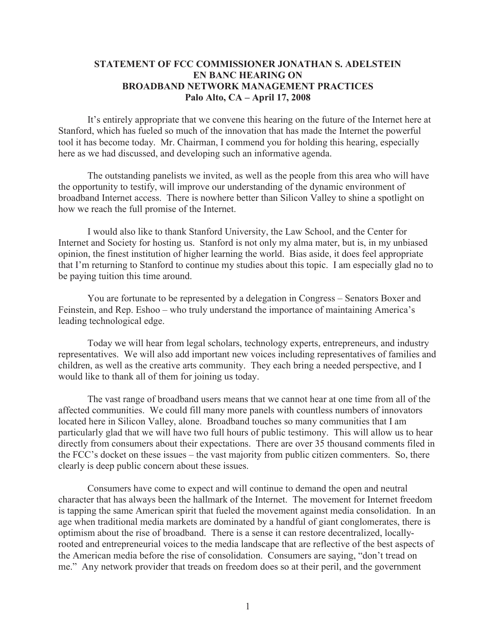## **STATEMENT OF FCC COMMISSIONER JONATHAN S. ADELSTEIN EN BANC HEARING ON BROADBAND NETWORK MANAGEMENT PRACTICES Palo Alto, CA – April 17, 2008**

It's entirely appropriate that we convene this hearing on the future of the Internet here at Stanford, which has fueled so much of the innovation that has made the Internet the powerful tool it has become today. Mr. Chairman, I commend you for holding this hearing, especially here as we had discussed, and developing such an informative agenda.

The outstanding panelists we invited, as well as the people from this area who will have the opportunity to testify, will improve our understanding of the dynamic environment of broadband Internet access. There is nowhere better than Silicon Valley to shine a spotlight on how we reach the full promise of the Internet.

I would also like to thank Stanford University, the Law School, and the Center for Internet and Society for hosting us. Stanford is not only my alma mater, but is, in my unbiased opinion, the finest institution of higher learning the world. Bias aside, it does feel appropriate that I'm returning to Stanford to continue my studies about this topic. I am especially glad no to be paying tuition this time around.

You are fortunate to be represented by a delegation in Congress – Senators Boxer and Feinstein, and Rep. Eshoo – who truly understand the importance of maintaining America's leading technological edge.

Today we will hear from legal scholars, technology experts, entrepreneurs, and industry representatives. We will also add important new voices including representatives of families and children, as well as the creative arts community. They each bring a needed perspective, and I would like to thank all of them for joining us today.

The vast range of broadband users means that we cannot hear at one time from all of the affected communities. We could fill many more panels with countless numbers of innovators located here in Silicon Valley, alone. Broadband touches so many communities that I am particularly glad that we will have two full hours of public testimony. This will allow us to hear directly from consumers about their expectations. There are over 35 thousand comments filed in the FCC's docket on these issues – the vast majority from public citizen commenters. So, there clearly is deep public concern about these issues.

Consumers have come to expect and will continue to demand the open and neutral character that has always been the hallmark of the Internet. The movement for Internet freedom is tapping the same American spirit that fueled the movement against media consolidation. In an age when traditional media markets are dominated by a handful of giant conglomerates, there is optimism about the rise of broadband. There is a sense it can restore decentralized, locallyrooted and entrepreneurial voices to the media landscape that are reflective of the best aspects of the American media before the rise of consolidation. Consumers are saying, "don't tread on me." Any network provider that treads on freedom does so at their peril, and the government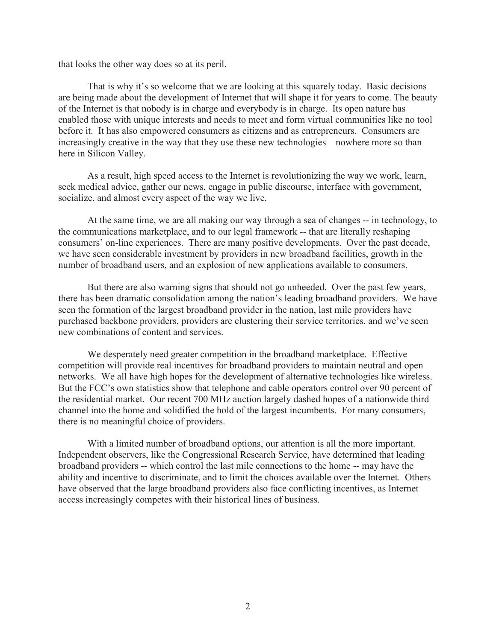that looks the other way does so at its peril.

That is why it's so welcome that we are looking at this squarely today. Basic decisions are being made about the development of Internet that will shape it for years to come. The beauty of the Internet is that nobody is in charge and everybody is in charge. Its open nature has enabled those with unique interests and needs to meet and form virtual communities like no tool before it. It has also empowered consumers as citizens and as entrepreneurs. Consumers are increasingly creative in the way that they use these new technologies – nowhere more so than here in Silicon Valley.

As a result, high speed access to the Internet is revolutionizing the way we work, learn, seek medical advice, gather our news, engage in public discourse, interface with government, socialize, and almost every aspect of the way we live.

At the same time, we are all making our way through a sea of changes -- in technology, to the communications marketplace, and to our legal framework -- that are literally reshaping consumers' on-line experiences. There are many positive developments. Over the past decade, we have seen considerable investment by providers in new broadband facilities, growth in the number of broadband users, and an explosion of new applications available to consumers.

But there are also warning signs that should not go unheeded. Over the past few years, there has been dramatic consolidation among the nation's leading broadband providers. We have seen the formation of the largest broadband provider in the nation, last mile providers have purchased backbone providers, providers are clustering their service territories, and we've seen new combinations of content and services.

We desperately need greater competition in the broadband marketplace. Effective competition will provide real incentives for broadband providers to maintain neutral and open networks. We all have high hopes for the development of alternative technologies like wireless. But the FCC's own statistics show that telephone and cable operators control over 90 percent of the residential market. Our recent 700 MHz auction largely dashed hopes of a nationwide third channel into the home and solidified the hold of the largest incumbents. For many consumers, there is no meaningful choice of providers.

With a limited number of broadband options, our attention is all the more important. Independent observers, like the Congressional Research Service, have determined that leading broadband providers -- which control the last mile connections to the home -- may have the ability and incentive to discriminate, and to limit the choices available over the Internet. Others have observed that the large broadband providers also face conflicting incentives, as Internet access increasingly competes with their historical lines of business.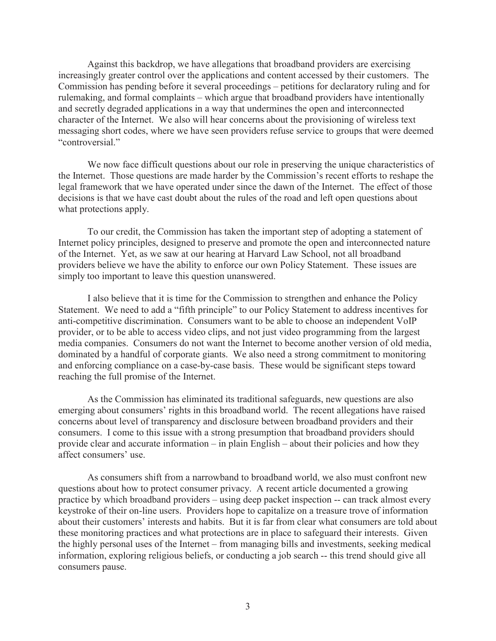Against this backdrop, we have allegations that broadband providers are exercising increasingly greater control over the applications and content accessed by their customers. The Commission has pending before it several proceedings – petitions for declaratory ruling and for rulemaking, and formal complaints – which argue that broadband providers have intentionally and secretly degraded applications in a way that undermines the open and interconnected character of the Internet. We also will hear concerns about the provisioning of wireless text messaging short codes, where we have seen providers refuse service to groups that were deemed "controversial."

We now face difficult questions about our role in preserving the unique characteristics of the Internet. Those questions are made harder by the Commission's recent efforts to reshape the legal framework that we have operated under since the dawn of the Internet. The effect of those decisions is that we have cast doubt about the rules of the road and left open questions about what protections apply.

To our credit, the Commission has taken the important step of adopting a statement of Internet policy principles, designed to preserve and promote the open and interconnected nature of the Internet. Yet, as we saw at our hearing at Harvard Law School, not all broadband providers believe we have the ability to enforce our own Policy Statement. These issues are simply too important to leave this question unanswered.

I also believe that it is time for the Commission to strengthen and enhance the Policy Statement. We need to add a "fifth principle" to our Policy Statement to address incentives for anti-competitive discrimination. Consumers want to be able to choose an independent VoIP provider, or to be able to access video clips, and not just video programming from the largest media companies. Consumers do not want the Internet to become another version of old media, dominated by a handful of corporate giants. We also need a strong commitment to monitoring and enforcing compliance on a case-by-case basis. These would be significant steps toward reaching the full promise of the Internet.

As the Commission has eliminated its traditional safeguards, new questions are also emerging about consumers' rights in this broadband world. The recent allegations have raised concerns about level of transparency and disclosure between broadband providers and their consumers. I come to this issue with a strong presumption that broadband providers should provide clear and accurate information – in plain English – about their policies and how they affect consumers' use.

As consumers shift from a narrowband to broadband world, we also must confront new questions about how to protect consumer privacy. A recent article documented a growing practice by which broadband providers – using deep packet inspection -- can track almost every keystroke of their on-line users. Providers hope to capitalize on a treasure trove of information about their customers' interests and habits. But it is far from clear what consumers are told about these monitoring practices and what protections are in place to safeguard their interests. Given the highly personal uses of the Internet – from managing bills and investments, seeking medical information, exploring religious beliefs, or conducting a job search -- this trend should give all consumers pause.